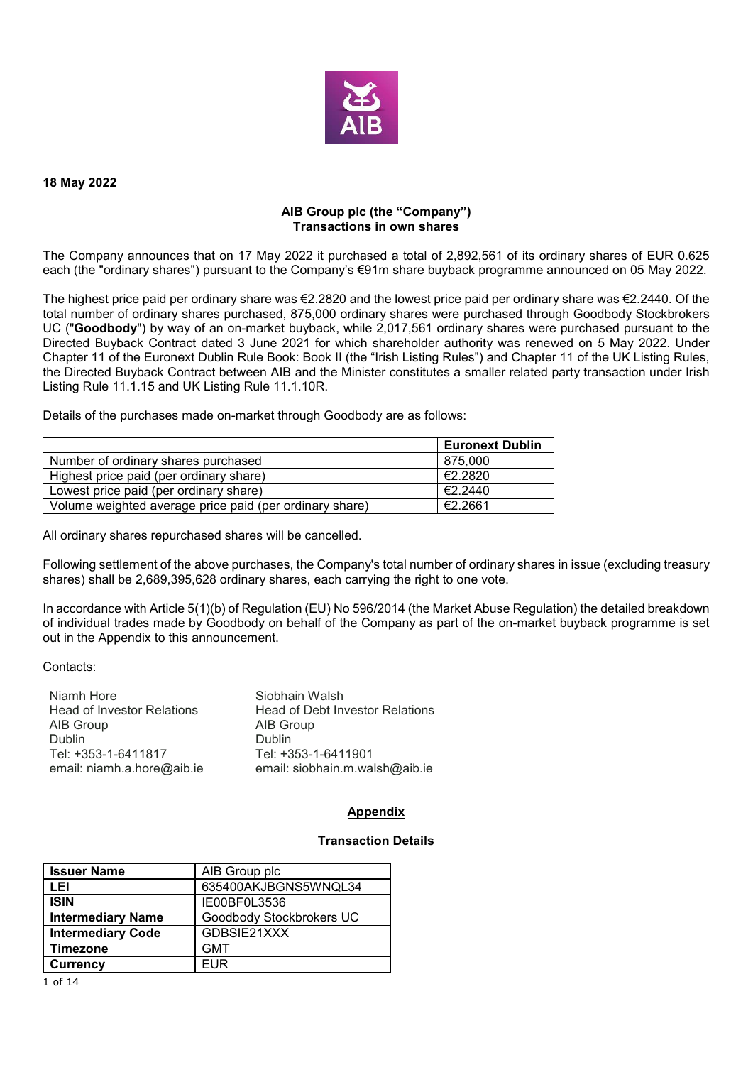

#### **18 May 2022**

## **AIB Group plc (the "Company") Transactions in own shares**

The Company announces that on 17 May 2022 it purchased a total of 2,892,561 of its ordinary shares of EUR 0.625 each (the "ordinary shares") pursuant to the Company's €91m share buyback programme announced on 05 May 2022.

The highest price paid per ordinary share was €2.2820 and the lowest price paid per ordinary share was €2.2440. Of the total number of ordinary shares purchased, 875,000 ordinary shares were purchased through Goodbody Stockbrokers UC ("**Goodbody**") by way of an on-market buyback, while 2,017,561 ordinary shares were purchased pursuant to the Directed Buyback Contract dated 3 June 2021 for which shareholder authority was renewed on 5 May 2022. Under Chapter 11 of the Euronext Dublin Rule Book: Book II (the "Irish Listing Rules") and Chapter 11 of the UK Listing Rules, the Directed Buyback Contract between AIB and the Minister constitutes a smaller related party transaction under Irish Listing Rule 11.1.15 and UK Listing Rule 11.1.10R.

Details of the purchases made on-market through Goodbody are as follows:

|                                                         | <b>Euronext Dublin</b> |
|---------------------------------------------------------|------------------------|
| Number of ordinary shares purchased                     | 875.000                |
| Highest price paid (per ordinary share)                 | €2.2820                |
| Lowest price paid (per ordinary share)                  | €2.2440                |
| Volume weighted average price paid (per ordinary share) | €2.2661                |

All ordinary shares repurchased shares will be cancelled.

Following settlement of the above purchases, the Company's total number of ordinary shares in issue (excluding treasury shares) shall be 2,689,395,628 ordinary shares, each carrying the right to one vote.

In accordance with Article 5(1)(b) of Regulation (EU) No 596/2014 (the Market Abuse Regulation) the detailed breakdown of individual trades made by Goodbody on behalf of the Company as part of the on-market buyback programme is set out in the Appendix to this announcement.

#### Contacts:

| Niamh Hore                        | Siobhain Walsh                         |
|-----------------------------------|----------------------------------------|
| <b>Head of Investor Relations</b> | <b>Head of Debt Investor Relations</b> |
| AIB Group                         | AIB Group                              |
| <b>Dublin</b>                     | <b>Dublin</b>                          |
| Tel: +353-1-6411817               | Tel: +353-1-6411901                    |
| email: niamh.a.hore@aib.ie        | email: siobhain.m.walsh@aib.ie         |

## **Appendix**

## **Transaction Details**

| <b>Issuer Name</b>       | AIB Group plc            |
|--------------------------|--------------------------|
| LEI                      | 635400AKJBGNS5WNQL34     |
| <b>ISIN</b>              | IE00BF0L3536             |
| <b>Intermediary Name</b> | Goodbody Stockbrokers UC |
| <b>Intermediary Code</b> | GDBSIE21XXX              |
| <b>Timezone</b>          | <b>GMT</b>               |
| <b>Currency</b>          | FUR                      |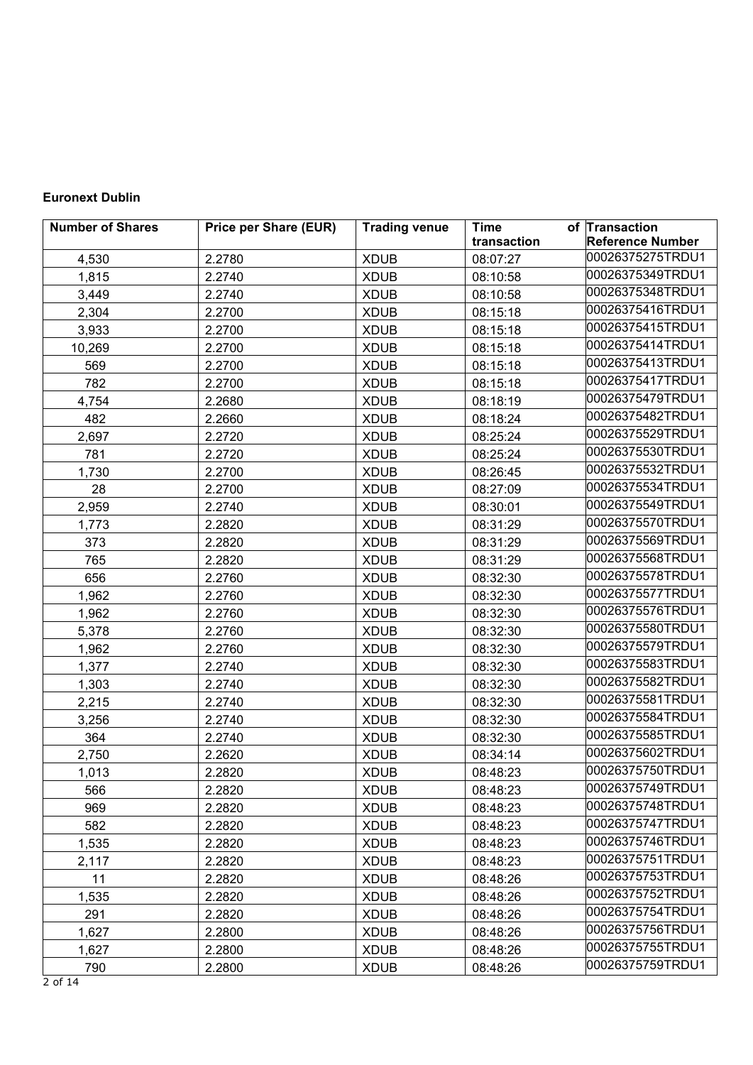# **Euronext Dublin**

| <b>Number of Shares</b> | <b>Price per Share (EUR)</b> | <b>Trading venue</b> | <b>Time</b> | of Transaction          |
|-------------------------|------------------------------|----------------------|-------------|-------------------------|
|                         |                              |                      | transaction | <b>Reference Number</b> |
| 4,530                   | 2.2780                       | <b>XDUB</b>          | 08:07:27    | 00026375275TRDU1        |
| 1,815                   | 2.2740                       | <b>XDUB</b>          | 08:10:58    | 00026375349TRDU1        |
| 3,449                   | 2.2740                       | <b>XDUB</b>          | 08:10:58    | 00026375348TRDU1        |
| 2,304                   | 2.2700                       | <b>XDUB</b>          | 08:15:18    | 00026375416TRDU1        |
| 3,933                   | 2.2700                       | <b>XDUB</b>          | 08:15:18    | 00026375415TRDU1        |
| 10,269                  | 2.2700                       | <b>XDUB</b>          | 08:15:18    | 00026375414TRDU1        |
| 569                     | 2.2700                       | <b>XDUB</b>          | 08:15:18    | 00026375413TRDU1        |
| 782                     | 2.2700                       | <b>XDUB</b>          | 08:15:18    | 00026375417TRDU1        |
| 4,754                   | 2.2680                       | <b>XDUB</b>          | 08:18:19    | 00026375479TRDU1        |
| 482                     | 2.2660                       | <b>XDUB</b>          | 08:18:24    | 00026375482TRDU1        |
| 2,697                   | 2.2720                       | <b>XDUB</b>          | 08:25:24    | 00026375529TRDU1        |
| 781                     | 2.2720                       | <b>XDUB</b>          | 08:25:24    | 00026375530TRDU1        |
| 1,730                   | 2.2700                       | <b>XDUB</b>          | 08:26:45    | 00026375532TRDU1        |
| 28                      | 2.2700                       | <b>XDUB</b>          | 08:27:09    | 00026375534TRDU1        |
| 2,959                   | 2.2740                       | <b>XDUB</b>          | 08:30:01    | 00026375549TRDU1        |
| 1,773                   | 2.2820                       | <b>XDUB</b>          | 08:31:29    | 00026375570TRDU1        |
| 373                     | 2.2820                       | <b>XDUB</b>          | 08:31:29    | 00026375569TRDU1        |
| 765                     | 2.2820                       | <b>XDUB</b>          | 08:31:29    | 00026375568TRDU1        |
| 656                     | 2.2760                       | <b>XDUB</b>          | 08:32:30    | 00026375578TRDU1        |
| 1,962                   | 2.2760                       | <b>XDUB</b>          | 08:32:30    | 00026375577TRDU1        |
| 1,962                   | 2.2760                       | <b>XDUB</b>          | 08:32:30    | 00026375576TRDU1        |
| 5,378                   | 2.2760                       | <b>XDUB</b>          | 08:32:30    | 00026375580TRDU1        |
| 1,962                   | 2.2760                       | <b>XDUB</b>          | 08:32:30    | 00026375579TRDU1        |
| 1,377                   | 2.2740                       | <b>XDUB</b>          | 08:32:30    | 00026375583TRDU1        |
| 1,303                   | 2.2740                       | <b>XDUB</b>          | 08:32:30    | 00026375582TRDU1        |
| 2,215                   | 2.2740                       | <b>XDUB</b>          | 08:32:30    | 00026375581TRDU1        |
| 3,256                   | 2.2740                       | <b>XDUB</b>          | 08:32:30    | 00026375584TRDU1        |
| 364                     | 2.2740                       | <b>XDUB</b>          | 08:32:30    | 00026375585TRDU1        |
| 2,750                   | 2.2620                       | <b>XDUB</b>          | 08:34:14    | 00026375602TRDU1        |
| 1,013                   | 2.2820                       | <b>XDUB</b>          | 08:48:23    | 00026375750TRDU1        |
| 566                     | 2.2820                       | <b>XDUB</b>          | 08:48:23    | 00026375749TRDU1        |
| 969                     | 2.2820                       | <b>XDUB</b>          | 08:48:23    | 00026375748TRDU1        |
| 582                     | 2.2820                       | <b>XDUB</b>          | 08:48:23    | 00026375747TRDU1        |
| 1,535                   | 2.2820                       | <b>XDUB</b>          | 08:48:23    | 00026375746TRDU1        |
| 2,117                   | 2.2820                       | <b>XDUB</b>          | 08:48:23    | 00026375751TRDU1        |
| 11                      | 2.2820                       | <b>XDUB</b>          | 08:48:26    | 00026375753TRDU1        |
| 1,535                   | 2.2820                       | <b>XDUB</b>          | 08:48:26    | 00026375752TRDU1        |
| 291                     | 2.2820                       | <b>XDUB</b>          | 08:48:26    | 00026375754TRDU1        |
| 1,627                   | 2.2800                       | <b>XDUB</b>          | 08:48:26    | 00026375756TRDU1        |
| 1,627                   | 2.2800                       | <b>XDUB</b>          | 08:48:26    | 00026375755TRDU1        |
| 790                     | 2.2800                       | <b>XDUB</b>          | 08:48:26    | 00026375759TRDU1        |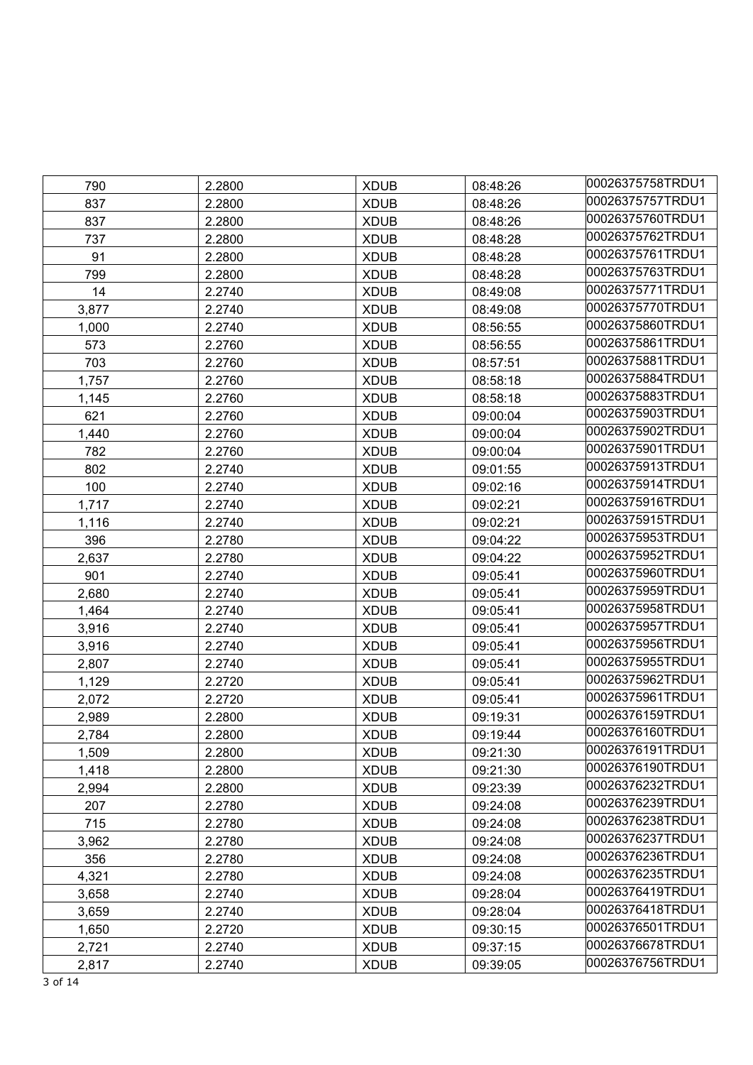| 790   | 2.2800 | <b>XDUB</b> | 08:48:26 | 00026375758TRDU1 |
|-------|--------|-------------|----------|------------------|
| 837   | 2.2800 | <b>XDUB</b> | 08:48:26 | 00026375757TRDU1 |
| 837   | 2.2800 | <b>XDUB</b> | 08:48:26 | 00026375760TRDU1 |
| 737   | 2.2800 | <b>XDUB</b> | 08:48:28 | 00026375762TRDU1 |
| 91    | 2.2800 | <b>XDUB</b> | 08:48:28 | 00026375761TRDU1 |
| 799   | 2.2800 | <b>XDUB</b> | 08:48:28 | 00026375763TRDU1 |
| 14    | 2.2740 | <b>XDUB</b> | 08:49:08 | 00026375771TRDU1 |
| 3,877 | 2.2740 | <b>XDUB</b> | 08:49:08 | 00026375770TRDU1 |
| 1,000 | 2.2740 | <b>XDUB</b> | 08:56:55 | 00026375860TRDU1 |
| 573   | 2.2760 | <b>XDUB</b> | 08:56:55 | 00026375861TRDU1 |
| 703   | 2.2760 | <b>XDUB</b> | 08:57:51 | 00026375881TRDU1 |
| 1,757 | 2.2760 | <b>XDUB</b> | 08:58:18 | 00026375884TRDU1 |
| 1,145 | 2.2760 | <b>XDUB</b> | 08:58:18 | 00026375883TRDU1 |
| 621   | 2.2760 | <b>XDUB</b> | 09:00:04 | 00026375903TRDU1 |
| 1,440 | 2.2760 | <b>XDUB</b> | 09:00:04 | 00026375902TRDU1 |
| 782   | 2.2760 | <b>XDUB</b> | 09:00:04 | 00026375901TRDU1 |
| 802   | 2.2740 | <b>XDUB</b> | 09:01:55 | 00026375913TRDU1 |
| 100   | 2.2740 | <b>XDUB</b> | 09:02:16 | 00026375914TRDU1 |
| 1,717 | 2.2740 | <b>XDUB</b> | 09:02:21 | 00026375916TRDU1 |
| 1,116 | 2.2740 | <b>XDUB</b> | 09:02:21 | 00026375915TRDU1 |
| 396   | 2.2780 | <b>XDUB</b> | 09:04:22 | 00026375953TRDU1 |
| 2,637 | 2.2780 | <b>XDUB</b> | 09:04:22 | 00026375952TRDU1 |
| 901   | 2.2740 | <b>XDUB</b> | 09:05:41 | 00026375960TRDU1 |
| 2,680 | 2.2740 | <b>XDUB</b> | 09:05:41 | 00026375959TRDU1 |
| 1,464 | 2.2740 | <b>XDUB</b> | 09:05:41 | 00026375958TRDU1 |
| 3,916 | 2.2740 | <b>XDUB</b> | 09:05:41 | 00026375957TRDU1 |
| 3,916 | 2.2740 | <b>XDUB</b> | 09:05:41 | 00026375956TRDU1 |
| 2,807 | 2.2740 | <b>XDUB</b> | 09:05:41 | 00026375955TRDU1 |
| 1,129 | 2.2720 | <b>XDUB</b> | 09:05:41 | 00026375962TRDU1 |
| 2,072 | 2.2720 | <b>XDUB</b> | 09:05:41 | 00026375961TRDU1 |
| 2,989 | 2.2800 | <b>XDUB</b> | 09:19:31 | 00026376159TRDU1 |
| 2,784 | 2.2800 | <b>XDUB</b> | 09:19:44 | 00026376160TRDU1 |
| 1,509 | 2.2800 | <b>XDUB</b> | 09:21:30 | 00026376191TRDU1 |
| 1,418 | 2.2800 | <b>XDUB</b> | 09:21:30 | 00026376190TRDU1 |
| 2,994 | 2.2800 | <b>XDUB</b> | 09:23:39 | 00026376232TRDU1 |
| 207   | 2.2780 | <b>XDUB</b> | 09:24:08 | 00026376239TRDU1 |
| 715   | 2.2780 | <b>XDUB</b> | 09:24:08 | 00026376238TRDU1 |
| 3,962 | 2.2780 | <b>XDUB</b> | 09:24:08 | 00026376237TRDU1 |
| 356   | 2.2780 | <b>XDUB</b> | 09:24:08 | 00026376236TRDU1 |
| 4,321 | 2.2780 | <b>XDUB</b> | 09:24:08 | 00026376235TRDU1 |
| 3,658 | 2.2740 | <b>XDUB</b> | 09:28:04 | 00026376419TRDU1 |
| 3,659 | 2.2740 | <b>XDUB</b> | 09:28:04 | 00026376418TRDU1 |
| 1,650 | 2.2720 | <b>XDUB</b> | 09:30:15 | 00026376501TRDU1 |
| 2,721 | 2.2740 | <b>XDUB</b> | 09:37:15 | 00026376678TRDU1 |
| 2,817 | 2.2740 | <b>XDUB</b> | 09:39:05 | 00026376756TRDU1 |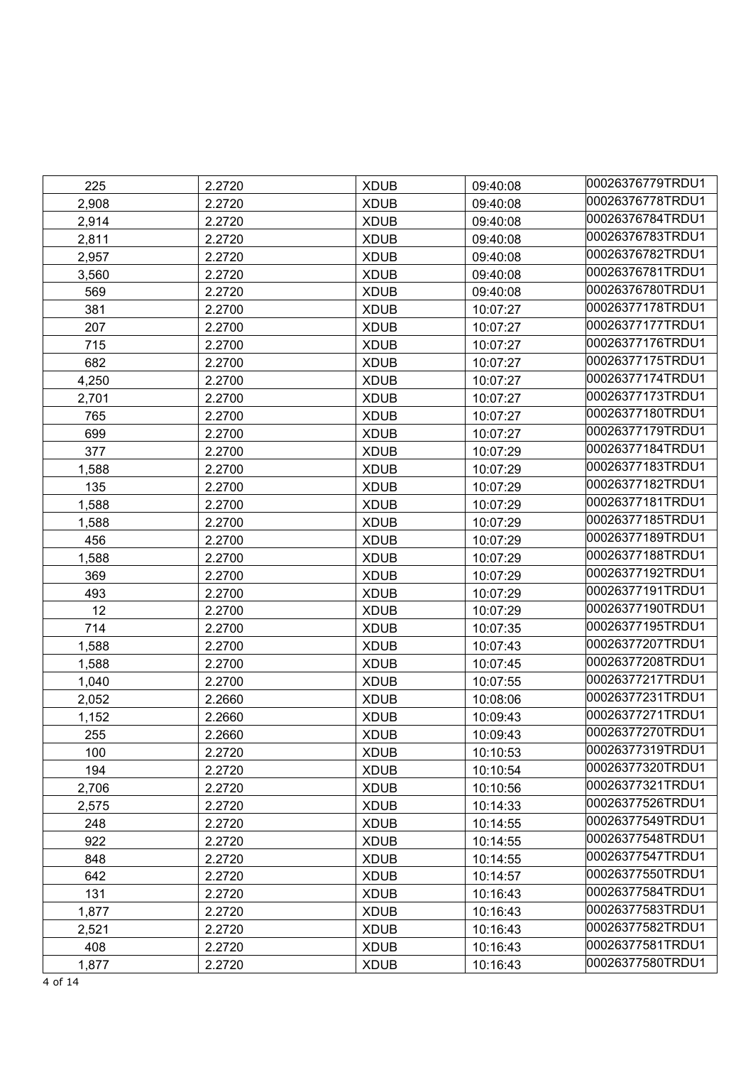| 225   | 2.2720 | <b>XDUB</b> | 09:40:08 | 00026376779TRDU1 |
|-------|--------|-------------|----------|------------------|
| 2,908 | 2.2720 | <b>XDUB</b> | 09:40:08 | 00026376778TRDU1 |
| 2,914 | 2.2720 | <b>XDUB</b> | 09:40:08 | 00026376784TRDU1 |
| 2,811 | 2.2720 | <b>XDUB</b> | 09:40:08 | 00026376783TRDU1 |
| 2,957 | 2.2720 | <b>XDUB</b> | 09:40:08 | 00026376782TRDU1 |
| 3,560 | 2.2720 | <b>XDUB</b> | 09:40:08 | 00026376781TRDU1 |
| 569   | 2.2720 | <b>XDUB</b> | 09:40:08 | 00026376780TRDU1 |
| 381   | 2.2700 | <b>XDUB</b> | 10:07:27 | 00026377178TRDU1 |
| 207   | 2.2700 | <b>XDUB</b> | 10:07:27 | 00026377177TRDU1 |
| 715   | 2.2700 | <b>XDUB</b> | 10:07:27 | 00026377176TRDU1 |
| 682   | 2.2700 | <b>XDUB</b> | 10:07:27 | 00026377175TRDU1 |
| 4,250 | 2.2700 | <b>XDUB</b> | 10:07:27 | 00026377174TRDU1 |
| 2,701 | 2.2700 | <b>XDUB</b> | 10:07:27 | 00026377173TRDU1 |
| 765   | 2.2700 | <b>XDUB</b> | 10:07:27 | 00026377180TRDU1 |
| 699   | 2.2700 | <b>XDUB</b> | 10:07:27 | 00026377179TRDU1 |
| 377   | 2.2700 | <b>XDUB</b> | 10:07:29 | 00026377184TRDU1 |
| 1,588 | 2.2700 | <b>XDUB</b> | 10:07:29 | 00026377183TRDU1 |
| 135   | 2.2700 | <b>XDUB</b> | 10:07:29 | 00026377182TRDU1 |
| 1,588 | 2.2700 | <b>XDUB</b> | 10:07:29 | 00026377181TRDU1 |
| 1,588 | 2.2700 | <b>XDUB</b> | 10:07:29 | 00026377185TRDU1 |
| 456   | 2.2700 | <b>XDUB</b> | 10:07:29 | 00026377189TRDU1 |
| 1,588 | 2.2700 | <b>XDUB</b> | 10:07:29 | 00026377188TRDU1 |
| 369   | 2.2700 | <b>XDUB</b> | 10:07:29 | 00026377192TRDU1 |
| 493   | 2.2700 | <b>XDUB</b> | 10:07:29 | 00026377191TRDU1 |
| 12    | 2.2700 | <b>XDUB</b> | 10:07:29 | 00026377190TRDU1 |
| 714   | 2.2700 | <b>XDUB</b> | 10:07:35 | 00026377195TRDU1 |
| 1,588 | 2.2700 | <b>XDUB</b> | 10:07:43 | 00026377207TRDU1 |
| 1,588 | 2.2700 | <b>XDUB</b> | 10:07:45 | 00026377208TRDU1 |
| 1,040 | 2.2700 | <b>XDUB</b> | 10:07:55 | 00026377217TRDU1 |
| 2,052 | 2.2660 | <b>XDUB</b> | 10:08:06 | 00026377231TRDU1 |
| 1,152 | 2.2660 | <b>XDUB</b> | 10:09:43 | 00026377271TRDU1 |
| 255   | 2.2660 | <b>XDUB</b> | 10:09:43 | 00026377270TRDU1 |
| 100   | 2.2720 | <b>XDUB</b> | 10:10:53 | 00026377319TRDU1 |
| 194   | 2.2720 | <b>XDUB</b> | 10:10:54 | 00026377320TRDU1 |
| 2,706 | 2.2720 | <b>XDUB</b> | 10:10:56 | 00026377321TRDU1 |
| 2,575 | 2.2720 | <b>XDUB</b> | 10:14:33 | 00026377526TRDU1 |
| 248   | 2.2720 | <b>XDUB</b> | 10:14:55 | 00026377549TRDU1 |
| 922   | 2.2720 | <b>XDUB</b> | 10:14:55 | 00026377548TRDU1 |
| 848   | 2.2720 | <b>XDUB</b> | 10:14:55 | 00026377547TRDU1 |
| 642   | 2.2720 | <b>XDUB</b> | 10:14:57 | 00026377550TRDU1 |
| 131   | 2.2720 | <b>XDUB</b> | 10:16:43 | 00026377584TRDU1 |
| 1,877 | 2.2720 | <b>XDUB</b> | 10:16:43 | 00026377583TRDU1 |
| 2,521 | 2.2720 | <b>XDUB</b> | 10:16:43 | 00026377582TRDU1 |
| 408   | 2.2720 | <b>XDUB</b> | 10:16:43 | 00026377581TRDU1 |
| 1,877 | 2.2720 | <b>XDUB</b> | 10:16:43 | 00026377580TRDU1 |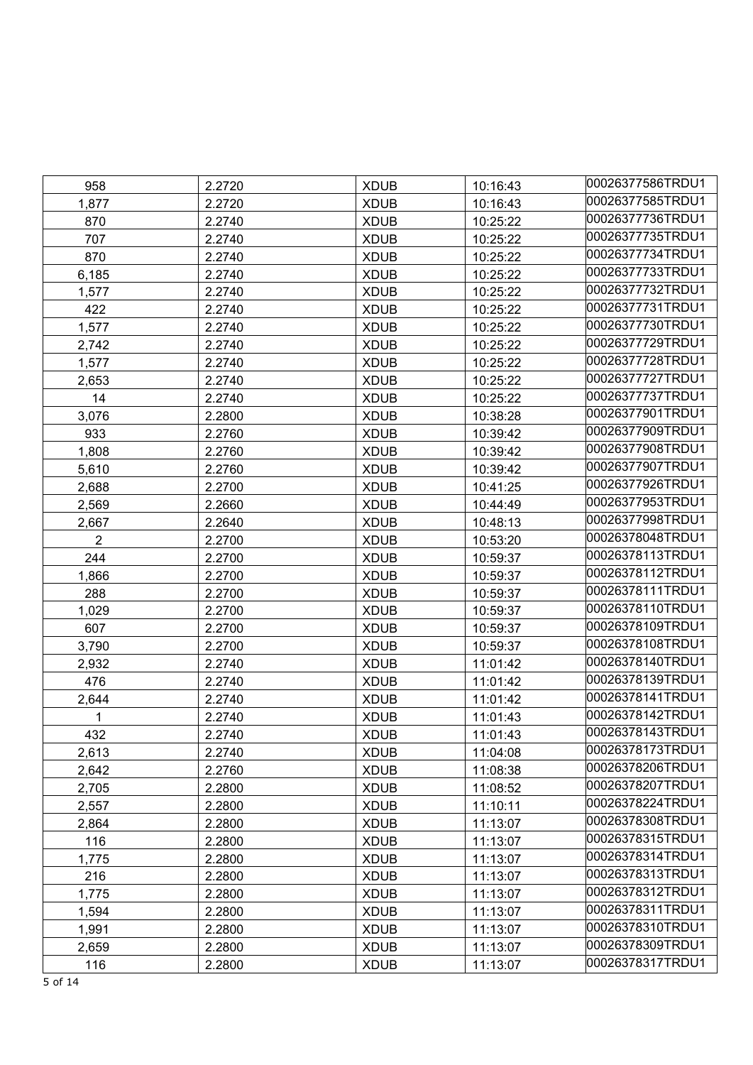| 958            | 2.2720 | <b>XDUB</b> | 10:16:43 | 00026377586TRDU1 |
|----------------|--------|-------------|----------|------------------|
| 1,877          | 2.2720 | <b>XDUB</b> | 10:16:43 | 00026377585TRDU1 |
| 870            | 2.2740 | <b>XDUB</b> | 10:25:22 | 00026377736TRDU1 |
| 707            | 2.2740 | <b>XDUB</b> | 10:25:22 | 00026377735TRDU1 |
| 870            | 2.2740 | <b>XDUB</b> | 10:25:22 | 00026377734TRDU1 |
| 6,185          | 2.2740 | <b>XDUB</b> | 10:25:22 | 00026377733TRDU1 |
| 1,577          | 2.2740 | <b>XDUB</b> | 10:25:22 | 00026377732TRDU1 |
| 422            | 2.2740 | <b>XDUB</b> | 10:25:22 | 00026377731TRDU1 |
| 1,577          | 2.2740 | <b>XDUB</b> | 10:25:22 | 00026377730TRDU1 |
| 2,742          | 2.2740 | <b>XDUB</b> | 10:25:22 | 00026377729TRDU1 |
| 1,577          | 2.2740 | <b>XDUB</b> | 10:25:22 | 00026377728TRDU1 |
| 2,653          | 2.2740 | <b>XDUB</b> | 10:25:22 | 00026377727TRDU1 |
| 14             | 2.2740 | <b>XDUB</b> | 10:25:22 | 00026377737TRDU1 |
| 3,076          | 2.2800 | <b>XDUB</b> | 10:38:28 | 00026377901TRDU1 |
| 933            | 2.2760 | <b>XDUB</b> | 10:39:42 | 00026377909TRDU1 |
| 1,808          | 2.2760 | <b>XDUB</b> | 10:39:42 | 00026377908TRDU1 |
| 5,610          | 2.2760 | <b>XDUB</b> | 10:39:42 | 00026377907TRDU1 |
| 2,688          | 2.2700 | <b>XDUB</b> | 10:41:25 | 00026377926TRDU1 |
| 2,569          | 2.2660 | <b>XDUB</b> | 10:44:49 | 00026377953TRDU1 |
| 2,667          | 2.2640 | <b>XDUB</b> | 10:48:13 | 00026377998TRDU1 |
| $\overline{2}$ | 2.2700 | <b>XDUB</b> | 10:53:20 | 00026378048TRDU1 |
| 244            | 2.2700 | <b>XDUB</b> | 10:59:37 | 00026378113TRDU1 |
| 1,866          | 2.2700 | <b>XDUB</b> | 10:59:37 | 00026378112TRDU1 |
| 288            | 2.2700 | <b>XDUB</b> | 10:59:37 | 00026378111TRDU1 |
| 1,029          | 2.2700 | <b>XDUB</b> | 10:59:37 | 00026378110TRDU1 |
| 607            | 2.2700 | <b>XDUB</b> | 10:59:37 | 00026378109TRDU1 |
| 3,790          | 2.2700 | <b>XDUB</b> | 10:59:37 | 00026378108TRDU1 |
| 2,932          | 2.2740 | <b>XDUB</b> | 11:01:42 | 00026378140TRDU1 |
| 476            | 2.2740 | <b>XDUB</b> | 11:01:42 | 00026378139TRDU1 |
| 2,644          | 2.2740 | <b>XDUB</b> | 11:01:42 | 00026378141TRDU1 |
| 1              | 2.2740 | <b>XDUB</b> | 11:01:43 | 00026378142TRDU1 |
| 432            | 2.2740 | <b>XDUB</b> | 11:01:43 | 00026378143TRDU1 |
| 2,613          | 2.2740 | <b>XDUB</b> | 11:04:08 | 00026378173TRDU1 |
| 2,642          | 2.2760 | <b>XDUB</b> | 11:08:38 | 00026378206TRDU1 |
| 2,705          | 2.2800 | <b>XDUB</b> | 11:08:52 | 00026378207TRDU1 |
| 2,557          | 2.2800 | <b>XDUB</b> | 11:10:11 | 00026378224TRDU1 |
| 2,864          | 2.2800 | <b>XDUB</b> | 11:13:07 | 00026378308TRDU1 |
| 116            | 2.2800 | <b>XDUB</b> | 11:13:07 | 00026378315TRDU1 |
| 1,775          | 2.2800 | <b>XDUB</b> | 11:13:07 | 00026378314TRDU1 |
| 216            | 2.2800 | <b>XDUB</b> | 11:13:07 | 00026378313TRDU1 |
| 1,775          | 2.2800 | <b>XDUB</b> | 11:13:07 | 00026378312TRDU1 |
| 1,594          | 2.2800 | <b>XDUB</b> | 11:13:07 | 00026378311TRDU1 |
| 1,991          | 2.2800 | <b>XDUB</b> | 11:13:07 | 00026378310TRDU1 |
| 2,659          | 2.2800 | <b>XDUB</b> | 11:13:07 | 00026378309TRDU1 |
| 116            | 2.2800 | <b>XDUB</b> | 11:13:07 | 00026378317TRDU1 |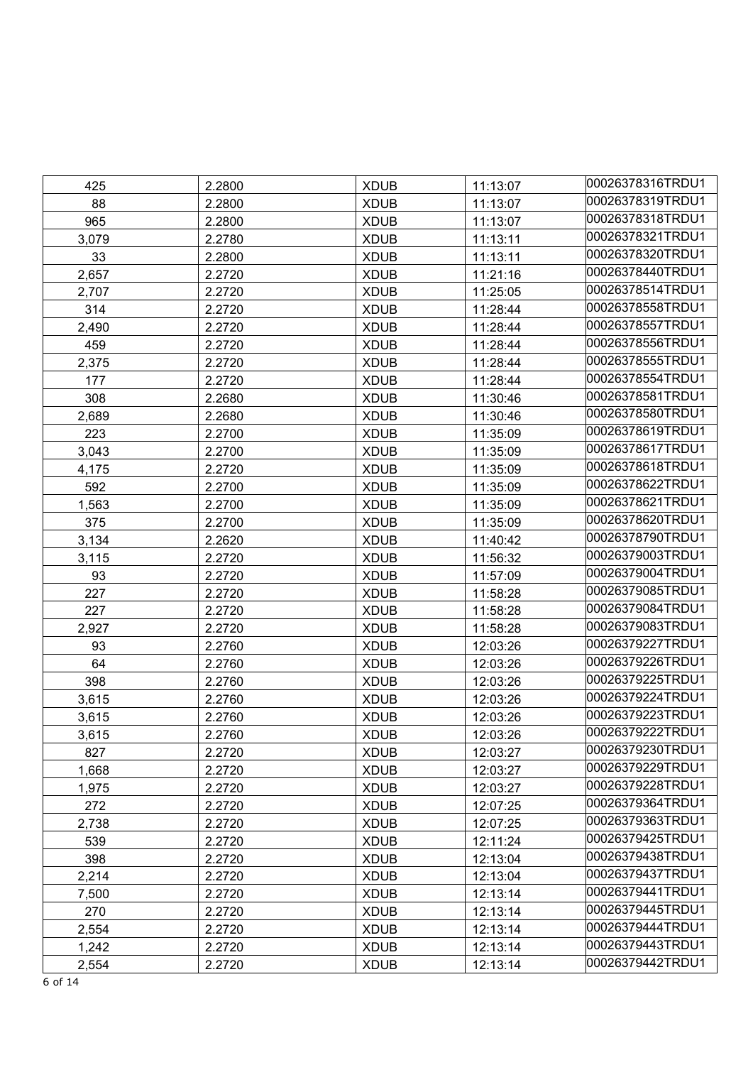| 425   | 2.2800 | <b>XDUB</b> | 11:13:07 | 00026378316TRDU1 |
|-------|--------|-------------|----------|------------------|
| 88    | 2.2800 | <b>XDUB</b> | 11:13:07 | 00026378319TRDU1 |
| 965   | 2.2800 | <b>XDUB</b> | 11:13:07 | 00026378318TRDU1 |
| 3,079 | 2.2780 | <b>XDUB</b> | 11:13:11 | 00026378321TRDU1 |
| 33    | 2.2800 | <b>XDUB</b> | 11:13:11 | 00026378320TRDU1 |
| 2,657 | 2.2720 | <b>XDUB</b> | 11:21:16 | 00026378440TRDU1 |
| 2,707 | 2.2720 | <b>XDUB</b> | 11:25:05 | 00026378514TRDU1 |
| 314   | 2.2720 | <b>XDUB</b> | 11:28:44 | 00026378558TRDU1 |
| 2,490 | 2.2720 | <b>XDUB</b> | 11:28:44 | 00026378557TRDU1 |
| 459   | 2.2720 | <b>XDUB</b> | 11:28:44 | 00026378556TRDU1 |
| 2,375 | 2.2720 | <b>XDUB</b> | 11:28:44 | 00026378555TRDU1 |
| 177   | 2.2720 | <b>XDUB</b> | 11:28:44 | 00026378554TRDU1 |
| 308   | 2.2680 | <b>XDUB</b> | 11:30:46 | 00026378581TRDU1 |
| 2,689 | 2.2680 | <b>XDUB</b> | 11:30:46 | 00026378580TRDU1 |
| 223   | 2.2700 | <b>XDUB</b> | 11:35:09 | 00026378619TRDU1 |
| 3,043 | 2.2700 | <b>XDUB</b> | 11:35:09 | 00026378617TRDU1 |
| 4,175 | 2.2720 | <b>XDUB</b> | 11:35:09 | 00026378618TRDU1 |
| 592   | 2.2700 | <b>XDUB</b> | 11:35:09 | 00026378622TRDU1 |
| 1,563 | 2.2700 | <b>XDUB</b> | 11:35:09 | 00026378621TRDU1 |
| 375   | 2.2700 | <b>XDUB</b> | 11:35:09 | 00026378620TRDU1 |
| 3,134 | 2.2620 | <b>XDUB</b> | 11:40:42 | 00026378790TRDU1 |
| 3,115 | 2.2720 | <b>XDUB</b> | 11:56:32 | 00026379003TRDU1 |
| 93    | 2.2720 | <b>XDUB</b> | 11:57:09 | 00026379004TRDU1 |
| 227   | 2.2720 | <b>XDUB</b> | 11:58:28 | 00026379085TRDU1 |
| 227   | 2.2720 | <b>XDUB</b> | 11:58:28 | 00026379084TRDU1 |
| 2,927 | 2.2720 | <b>XDUB</b> | 11:58:28 | 00026379083TRDU1 |
| 93    | 2.2760 | <b>XDUB</b> | 12:03:26 | 00026379227TRDU1 |
| 64    | 2.2760 | <b>XDUB</b> | 12:03:26 | 00026379226TRDU1 |
| 398   | 2.2760 | <b>XDUB</b> | 12:03:26 | 00026379225TRDU1 |
| 3,615 | 2.2760 | <b>XDUB</b> | 12:03:26 | 00026379224TRDU1 |
| 3,615 | 2.2760 | <b>XDUB</b> | 12:03:26 | 00026379223TRDU1 |
| 3,615 | 2.2760 | <b>XDUB</b> | 12:03:26 | 00026379222TRDU1 |
| 827   | 2.2720 | <b>XDUB</b> | 12:03:27 | 00026379230TRDU1 |
| 1,668 | 2.2720 | <b>XDUB</b> | 12:03:27 | 00026379229TRDU1 |
| 1,975 | 2.2720 | <b>XDUB</b> | 12:03:27 | 00026379228TRDU1 |
| 272   | 2.2720 | <b>XDUB</b> | 12:07:25 | 00026379364TRDU1 |
| 2,738 | 2.2720 | <b>XDUB</b> | 12:07:25 | 00026379363TRDU1 |
| 539   | 2.2720 | <b>XDUB</b> | 12:11:24 | 00026379425TRDU1 |
| 398   | 2.2720 | <b>XDUB</b> | 12:13:04 | 00026379438TRDU1 |
| 2,214 | 2.2720 | <b>XDUB</b> | 12:13:04 | 00026379437TRDU1 |
| 7,500 | 2.2720 | <b>XDUB</b> | 12:13:14 | 00026379441TRDU1 |
| 270   | 2.2720 | <b>XDUB</b> | 12:13:14 | 00026379445TRDU1 |
| 2,554 | 2.2720 | <b>XDUB</b> | 12:13:14 | 00026379444TRDU1 |
| 1,242 | 2.2720 | <b>XDUB</b> | 12:13:14 | 00026379443TRDU1 |
| 2,554 | 2.2720 | <b>XDUB</b> | 12:13:14 | 00026379442TRDU1 |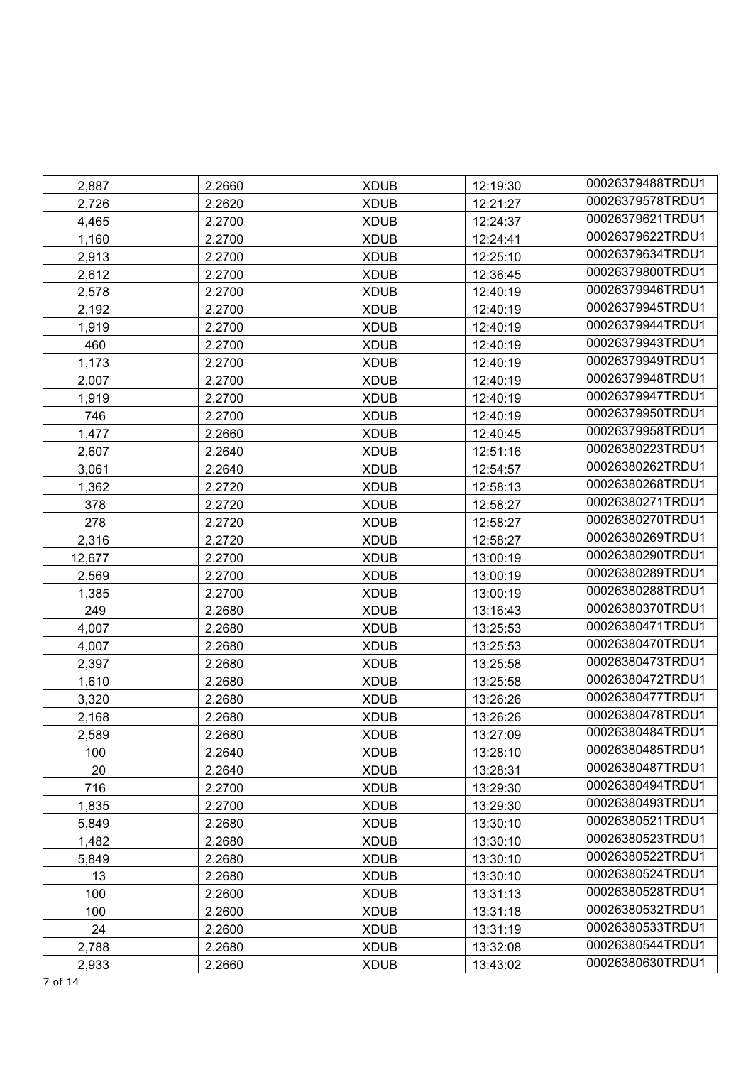| 2,887  | 2.2660 | <b>XDUB</b> | 12:19:30 | 00026379488TRDU1 |
|--------|--------|-------------|----------|------------------|
| 2,726  | 2.2620 | <b>XDUB</b> | 12:21:27 | 00026379578TRDU1 |
| 4,465  | 2.2700 | <b>XDUB</b> | 12:24:37 | 00026379621TRDU1 |
| 1,160  | 2.2700 | <b>XDUB</b> | 12:24:41 | 00026379622TRDU1 |
| 2,913  | 2.2700 | <b>XDUB</b> | 12:25:10 | 00026379634TRDU1 |
| 2,612  | 2.2700 | <b>XDUB</b> | 12:36:45 | 00026379800TRDU1 |
| 2,578  | 2.2700 | <b>XDUB</b> | 12:40:19 | 00026379946TRDU1 |
| 2,192  | 2.2700 | <b>XDUB</b> | 12:40:19 | 00026379945TRDU1 |
| 1,919  | 2.2700 | <b>XDUB</b> | 12:40:19 | 00026379944TRDU1 |
| 460    | 2.2700 | <b>XDUB</b> | 12:40:19 | 00026379943TRDU1 |
| 1,173  | 2.2700 | <b>XDUB</b> | 12:40:19 | 00026379949TRDU1 |
| 2,007  | 2.2700 | <b>XDUB</b> | 12:40:19 | 00026379948TRDU1 |
| 1,919  | 2.2700 | <b>XDUB</b> | 12:40:19 | 00026379947TRDU1 |
| 746    | 2.2700 | <b>XDUB</b> | 12:40:19 | 00026379950TRDU1 |
| 1,477  | 2.2660 | <b>XDUB</b> | 12:40:45 | 00026379958TRDU1 |
| 2,607  | 2.2640 | <b>XDUB</b> | 12:51:16 | 00026380223TRDU1 |
| 3,061  | 2.2640 | <b>XDUB</b> | 12:54:57 | 00026380262TRDU1 |
| 1,362  | 2.2720 | <b>XDUB</b> | 12:58:13 | 00026380268TRDU1 |
| 378    | 2.2720 | <b>XDUB</b> | 12:58:27 | 00026380271TRDU1 |
| 278    | 2.2720 | <b>XDUB</b> | 12:58:27 | 00026380270TRDU1 |
| 2,316  | 2.2720 | <b>XDUB</b> | 12:58:27 | 00026380269TRDU1 |
| 12,677 | 2.2700 | <b>XDUB</b> | 13:00:19 | 00026380290TRDU1 |
| 2,569  | 2.2700 | <b>XDUB</b> | 13:00:19 | 00026380289TRDU1 |
| 1,385  | 2.2700 | <b>XDUB</b> | 13:00:19 | 00026380288TRDU1 |
| 249    | 2.2680 | <b>XDUB</b> | 13:16:43 | 00026380370TRDU1 |
| 4,007  | 2.2680 | <b>XDUB</b> | 13:25:53 | 00026380471TRDU1 |
| 4,007  | 2.2680 | <b>XDUB</b> | 13:25:53 | 00026380470TRDU1 |
| 2,397  | 2.2680 | <b>XDUB</b> | 13:25:58 | 00026380473TRDU1 |
| 1,610  | 2.2680 | <b>XDUB</b> | 13:25:58 | 00026380472TRDU1 |
| 3,320  | 2.2680 | <b>XDUB</b> | 13:26:26 | 00026380477TRDU1 |
| 2,168  | 2.2680 | <b>XDUB</b> | 13:26:26 | 00026380478TRDU1 |
| 2,589  | 2.2680 | <b>XDUB</b> | 13:27:09 | 00026380484TRDU1 |
| 100    | 2.2640 | <b>XDUB</b> | 13:28:10 | 00026380485TRDU1 |
| 20     | 2.2640 | <b>XDUB</b> | 13:28:31 | 00026380487TRDU1 |
| 716    | 2.2700 | <b>XDUB</b> | 13:29:30 | 00026380494TRDU1 |
| 1,835  | 2.2700 | <b>XDUB</b> | 13:29:30 | 00026380493TRDU1 |
| 5,849  | 2.2680 | <b>XDUB</b> | 13:30:10 | 00026380521TRDU1 |
| 1,482  | 2.2680 | <b>XDUB</b> | 13:30:10 | 00026380523TRDU1 |
| 5,849  | 2.2680 | <b>XDUB</b> | 13:30:10 | 00026380522TRDU1 |
| 13     | 2.2680 | <b>XDUB</b> | 13:30:10 | 00026380524TRDU1 |
| 100    | 2.2600 | <b>XDUB</b> | 13:31:13 | 00026380528TRDU1 |
| 100    | 2.2600 | <b>XDUB</b> | 13:31:18 | 00026380532TRDU1 |
| 24     | 2.2600 | <b>XDUB</b> | 13:31:19 | 00026380533TRDU1 |
| 2,788  | 2.2680 | <b>XDUB</b> | 13:32:08 | 00026380544TRDU1 |
| 2,933  | 2.2660 | <b>XDUB</b> | 13:43:02 | 00026380630TRDU1 |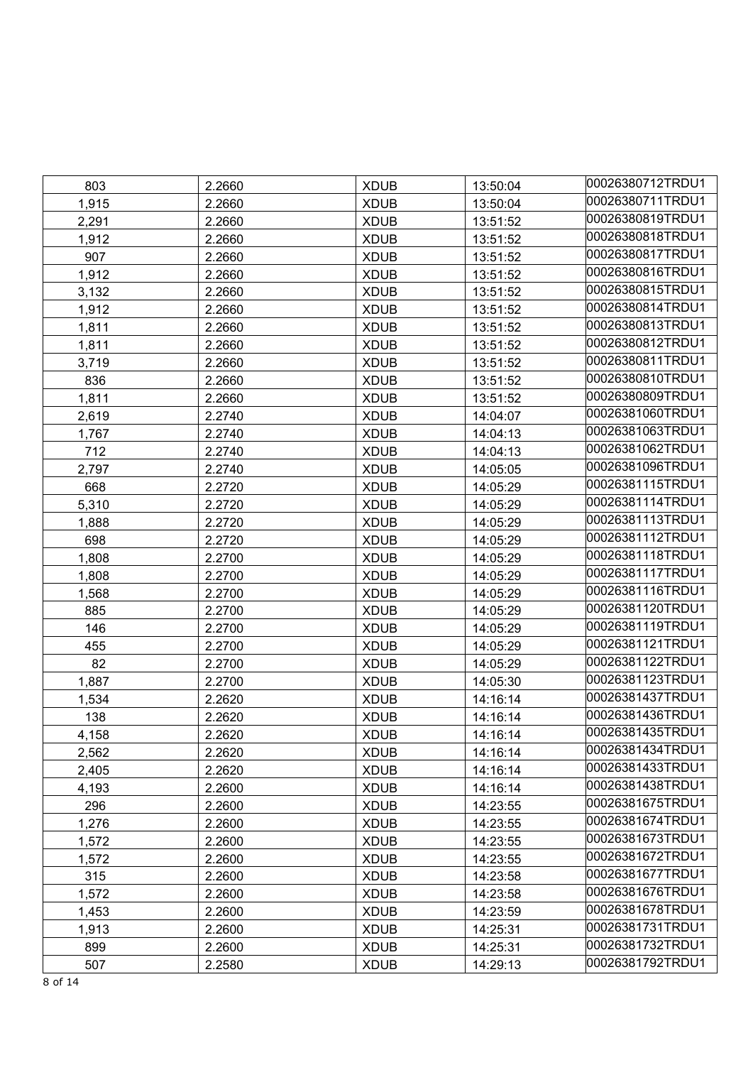| 803   | 2.2660 | <b>XDUB</b> | 13:50:04 | 00026380712TRDU1 |
|-------|--------|-------------|----------|------------------|
| 1,915 | 2.2660 | <b>XDUB</b> | 13:50:04 | 00026380711TRDU1 |
| 2,291 | 2.2660 | <b>XDUB</b> | 13:51:52 | 00026380819TRDU1 |
| 1,912 | 2.2660 | <b>XDUB</b> | 13:51:52 | 00026380818TRDU1 |
| 907   | 2.2660 | <b>XDUB</b> | 13:51:52 | 00026380817TRDU1 |
| 1,912 | 2.2660 | <b>XDUB</b> | 13:51:52 | 00026380816TRDU1 |
| 3,132 | 2.2660 | <b>XDUB</b> | 13:51:52 | 00026380815TRDU1 |
| 1,912 | 2.2660 | <b>XDUB</b> | 13:51:52 | 00026380814TRDU1 |
| 1,811 | 2.2660 | <b>XDUB</b> | 13:51:52 | 00026380813TRDU1 |
| 1,811 | 2.2660 | <b>XDUB</b> | 13:51:52 | 00026380812TRDU1 |
| 3,719 | 2.2660 | <b>XDUB</b> | 13:51:52 | 00026380811TRDU1 |
| 836   | 2.2660 | <b>XDUB</b> | 13:51:52 | 00026380810TRDU1 |
| 1,811 | 2.2660 | <b>XDUB</b> | 13:51:52 | 00026380809TRDU1 |
| 2,619 | 2.2740 | <b>XDUB</b> | 14:04:07 | 00026381060TRDU1 |
| 1,767 | 2.2740 | <b>XDUB</b> | 14:04:13 | 00026381063TRDU1 |
| 712   | 2.2740 | <b>XDUB</b> | 14:04:13 | 00026381062TRDU1 |
| 2,797 | 2.2740 | <b>XDUB</b> | 14:05:05 | 00026381096TRDU1 |
| 668   | 2.2720 | <b>XDUB</b> | 14:05:29 | 00026381115TRDU1 |
| 5,310 | 2.2720 | <b>XDUB</b> | 14:05:29 | 00026381114TRDU1 |
| 1,888 | 2.2720 | <b>XDUB</b> | 14:05:29 | 00026381113TRDU1 |
| 698   | 2.2720 | <b>XDUB</b> | 14:05:29 | 00026381112TRDU1 |
| 1,808 | 2.2700 | <b>XDUB</b> | 14:05:29 | 00026381118TRDU1 |
| 1,808 | 2.2700 | <b>XDUB</b> | 14:05:29 | 00026381117TRDU1 |
| 1,568 | 2.2700 | <b>XDUB</b> | 14:05:29 | 00026381116TRDU1 |
| 885   | 2.2700 | <b>XDUB</b> | 14:05:29 | 00026381120TRDU1 |
| 146   | 2.2700 | <b>XDUB</b> | 14:05:29 | 00026381119TRDU1 |
| 455   | 2.2700 | <b>XDUB</b> | 14:05:29 | 00026381121TRDU1 |
| 82    | 2.2700 | <b>XDUB</b> | 14:05:29 | 00026381122TRDU1 |
| 1,887 | 2.2700 | <b>XDUB</b> | 14:05:30 | 00026381123TRDU1 |
| 1,534 | 2.2620 | <b>XDUB</b> | 14:16:14 | 00026381437TRDU1 |
| 138   | 2.2620 | <b>XDUB</b> | 14:16:14 | 00026381436TRDU1 |
| 4,158 | 2.2620 | <b>XDUB</b> | 14:16:14 | 00026381435TRDU1 |
| 2,562 | 2.2620 | <b>XDUB</b> | 14:16:14 | 00026381434TRDU1 |
| 2,405 | 2.2620 | <b>XDUB</b> | 14:16:14 | 00026381433TRDU1 |
| 4,193 | 2.2600 | <b>XDUB</b> | 14:16:14 | 00026381438TRDU1 |
| 296   | 2.2600 | <b>XDUB</b> | 14:23:55 | 00026381675TRDU1 |
| 1,276 | 2.2600 | <b>XDUB</b> | 14:23:55 | 00026381674TRDU1 |
| 1,572 | 2.2600 | <b>XDUB</b> | 14:23:55 | 00026381673TRDU1 |
| 1,572 | 2.2600 | <b>XDUB</b> | 14:23:55 | 00026381672TRDU1 |
| 315   | 2.2600 | <b>XDUB</b> | 14:23:58 | 00026381677TRDU1 |
| 1,572 | 2.2600 | <b>XDUB</b> | 14:23:58 | 00026381676TRDU1 |
| 1,453 | 2.2600 | <b>XDUB</b> | 14:23:59 | 00026381678TRDU1 |
| 1,913 | 2.2600 | <b>XDUB</b> | 14:25:31 | 00026381731TRDU1 |
| 899   | 2.2600 | <b>XDUB</b> | 14:25:31 | 00026381732TRDU1 |
| 507   | 2.2580 | <b>XDUB</b> | 14:29:13 | 00026381792TRDU1 |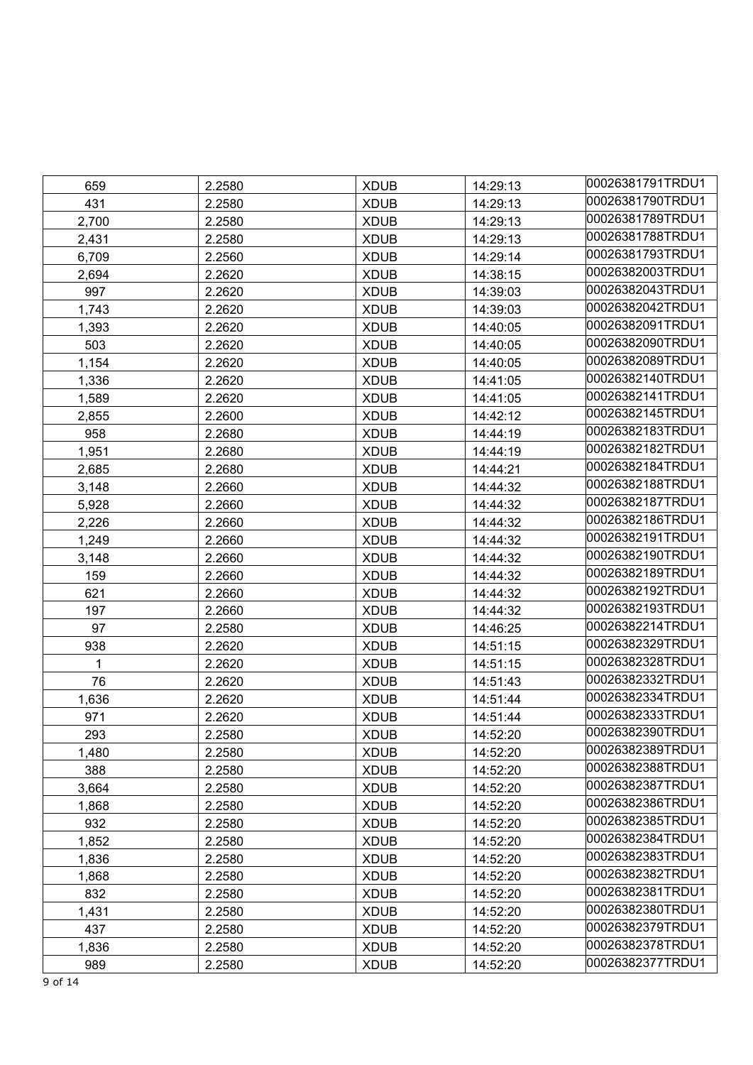| 659          | 2.2580 | <b>XDUB</b> | 14:29:13 | 00026381791TRDU1 |
|--------------|--------|-------------|----------|------------------|
| 431          | 2.2580 | <b>XDUB</b> | 14:29:13 | 00026381790TRDU1 |
| 2,700        | 2.2580 | <b>XDUB</b> | 14:29:13 | 00026381789TRDU1 |
| 2,431        | 2.2580 | <b>XDUB</b> | 14:29:13 | 00026381788TRDU1 |
| 6,709        | 2.2560 | <b>XDUB</b> | 14:29:14 | 00026381793TRDU1 |
| 2,694        | 2.2620 | <b>XDUB</b> | 14:38:15 | 00026382003TRDU1 |
| 997          | 2.2620 | <b>XDUB</b> | 14:39:03 | 00026382043TRDU1 |
| 1,743        | 2.2620 | <b>XDUB</b> | 14:39:03 | 00026382042TRDU1 |
| 1,393        | 2.2620 | <b>XDUB</b> | 14:40:05 | 00026382091TRDU1 |
| 503          | 2.2620 | <b>XDUB</b> | 14:40:05 | 00026382090TRDU1 |
| 1,154        | 2.2620 | <b>XDUB</b> | 14:40:05 | 00026382089TRDU1 |
| 1,336        | 2.2620 | <b>XDUB</b> | 14:41:05 | 00026382140TRDU1 |
| 1,589        | 2.2620 | <b>XDUB</b> | 14:41:05 | 00026382141TRDU1 |
| 2,855        | 2.2600 | <b>XDUB</b> | 14:42:12 | 00026382145TRDU1 |
| 958          | 2.2680 | <b>XDUB</b> | 14:44:19 | 00026382183TRDU1 |
| 1,951        | 2.2680 | <b>XDUB</b> | 14:44:19 | 00026382182TRDU1 |
| 2,685        | 2.2680 | <b>XDUB</b> | 14:44:21 | 00026382184TRDU1 |
| 3,148        | 2.2660 | <b>XDUB</b> | 14:44:32 | 00026382188TRDU1 |
| 5,928        | 2.2660 | <b>XDUB</b> | 14:44:32 | 00026382187TRDU1 |
| 2,226        | 2.2660 | <b>XDUB</b> | 14:44:32 | 00026382186TRDU1 |
| 1,249        | 2.2660 | <b>XDUB</b> | 14:44:32 | 00026382191TRDU1 |
| 3,148        | 2.2660 | <b>XDUB</b> | 14:44:32 | 00026382190TRDU1 |
| 159          | 2.2660 | <b>XDUB</b> | 14:44:32 | 00026382189TRDU1 |
| 621          | 2.2660 | <b>XDUB</b> | 14:44:32 | 00026382192TRDU1 |
| 197          | 2.2660 | <b>XDUB</b> | 14:44:32 | 00026382193TRDU1 |
| 97           | 2.2580 | <b>XDUB</b> | 14:46:25 | 00026382214TRDU1 |
| 938          | 2.2620 | <b>XDUB</b> | 14:51:15 | 00026382329TRDU1 |
| $\mathbf{1}$ | 2.2620 | <b>XDUB</b> | 14:51:15 | 00026382328TRDU1 |
| 76           | 2.2620 | <b>XDUB</b> | 14:51:43 | 00026382332TRDU1 |
| 1,636        | 2.2620 | <b>XDUB</b> | 14:51:44 | 00026382334TRDU1 |
| 971          | 2.2620 | <b>XDUB</b> | 14:51:44 | 00026382333TRDU1 |
| 293          | 2.2580 | <b>XDUB</b> | 14:52:20 | 00026382390TRDU1 |
| 1,480        | 2.2580 | <b>XDUB</b> | 14:52:20 | 00026382389TRDU1 |
| 388          | 2.2580 | <b>XDUB</b> | 14:52:20 | 00026382388TRDU1 |
| 3,664        | 2.2580 | <b>XDUB</b> | 14:52:20 | 00026382387TRDU1 |
| 1,868        | 2.2580 | <b>XDUB</b> | 14:52:20 | 00026382386TRDU1 |
| 932          | 2.2580 | <b>XDUB</b> | 14:52:20 | 00026382385TRDU1 |
| 1,852        | 2.2580 | <b>XDUB</b> | 14:52:20 | 00026382384TRDU1 |
| 1,836        | 2.2580 | <b>XDUB</b> | 14:52:20 | 00026382383TRDU1 |
| 1,868        | 2.2580 | <b>XDUB</b> | 14:52:20 | 00026382382TRDU1 |
| 832          | 2.2580 | <b>XDUB</b> | 14:52:20 | 00026382381TRDU1 |
| 1,431        | 2.2580 | <b>XDUB</b> | 14:52:20 | 00026382380TRDU1 |
| 437          | 2.2580 | <b>XDUB</b> | 14:52:20 | 00026382379TRDU1 |
| 1,836        | 2.2580 | <b>XDUB</b> | 14:52:20 | 00026382378TRDU1 |
| 989          | 2.2580 | <b>XDUB</b> | 14:52:20 | 00026382377TRDU1 |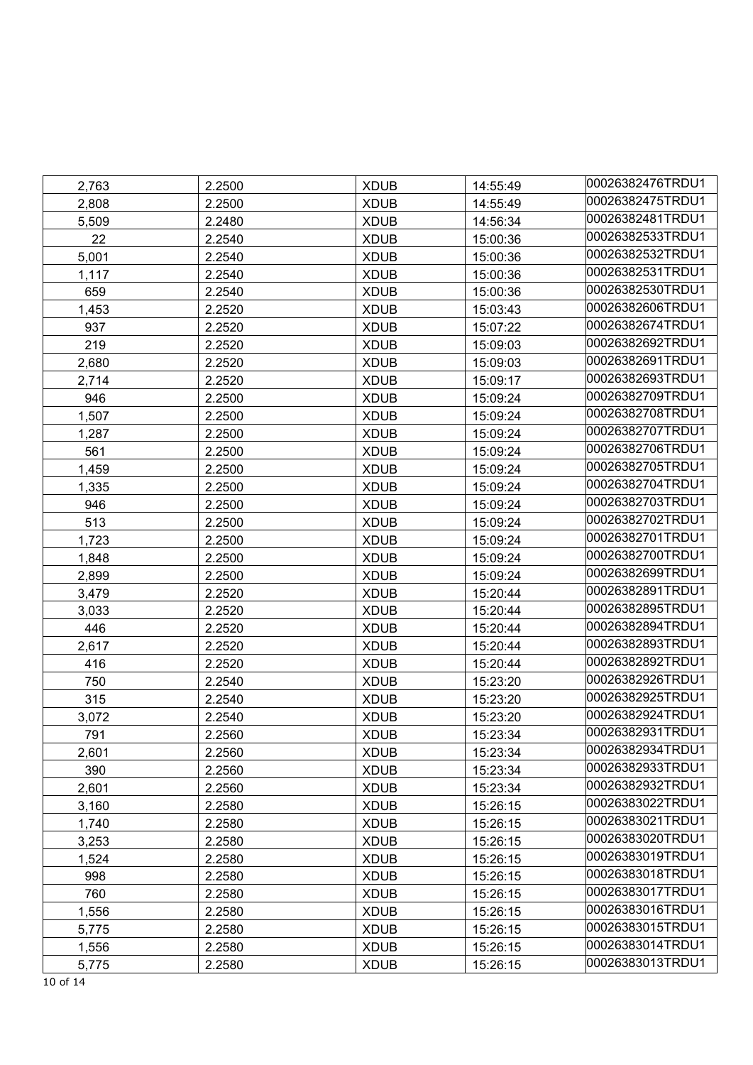| 2,763 | 2.2500 | <b>XDUB</b> | 14:55:49 | 00026382476TRDU1 |
|-------|--------|-------------|----------|------------------|
| 2,808 | 2.2500 | <b>XDUB</b> | 14:55:49 | 00026382475TRDU1 |
| 5,509 | 2.2480 | <b>XDUB</b> | 14:56:34 | 00026382481TRDU1 |
| 22    | 2.2540 | <b>XDUB</b> | 15:00:36 | 00026382533TRDU1 |
| 5,001 | 2.2540 | <b>XDUB</b> | 15:00:36 | 00026382532TRDU1 |
| 1,117 | 2.2540 | <b>XDUB</b> | 15:00:36 | 00026382531TRDU1 |
| 659   | 2.2540 | <b>XDUB</b> | 15:00:36 | 00026382530TRDU1 |
| 1,453 | 2.2520 | <b>XDUB</b> | 15:03:43 | 00026382606TRDU1 |
| 937   | 2.2520 | <b>XDUB</b> | 15:07:22 | 00026382674TRDU1 |
| 219   | 2.2520 | <b>XDUB</b> | 15:09:03 | 00026382692TRDU1 |
| 2,680 | 2.2520 | <b>XDUB</b> | 15:09:03 | 00026382691TRDU1 |
| 2,714 | 2.2520 | <b>XDUB</b> | 15:09:17 | 00026382693TRDU1 |
| 946   | 2.2500 | <b>XDUB</b> | 15:09:24 | 00026382709TRDU1 |
| 1,507 | 2.2500 | <b>XDUB</b> | 15:09:24 | 00026382708TRDU1 |
| 1,287 | 2.2500 | <b>XDUB</b> | 15:09:24 | 00026382707TRDU1 |
| 561   | 2.2500 | <b>XDUB</b> | 15:09:24 | 00026382706TRDU1 |
| 1,459 | 2.2500 | <b>XDUB</b> | 15:09:24 | 00026382705TRDU1 |
| 1,335 | 2.2500 | <b>XDUB</b> | 15:09:24 | 00026382704TRDU1 |
| 946   | 2.2500 | <b>XDUB</b> | 15:09:24 | 00026382703TRDU1 |
| 513   | 2.2500 | <b>XDUB</b> | 15:09:24 | 00026382702TRDU1 |
| 1,723 | 2.2500 | <b>XDUB</b> | 15:09:24 | 00026382701TRDU1 |
| 1,848 | 2.2500 | <b>XDUB</b> | 15:09:24 | 00026382700TRDU1 |
| 2,899 | 2.2500 | <b>XDUB</b> | 15:09:24 | 00026382699TRDU1 |
| 3,479 | 2.2520 | <b>XDUB</b> | 15:20:44 | 00026382891TRDU1 |
| 3,033 | 2.2520 | <b>XDUB</b> | 15:20:44 | 00026382895TRDU1 |
| 446   | 2.2520 | <b>XDUB</b> | 15:20:44 | 00026382894TRDU1 |
| 2,617 | 2.2520 | <b>XDUB</b> | 15:20:44 | 00026382893TRDU1 |
| 416   | 2.2520 | <b>XDUB</b> | 15:20:44 | 00026382892TRDU1 |
| 750   | 2.2540 | <b>XDUB</b> | 15:23:20 | 00026382926TRDU1 |
| 315   | 2.2540 | <b>XDUB</b> | 15:23:20 | 00026382925TRDU1 |
| 3,072 | 2.2540 | <b>XDUB</b> | 15:23:20 | 00026382924TRDU1 |
| 791   | 2.2560 | <b>XDUB</b> | 15:23:34 | 00026382931TRDU1 |
| 2,601 | 2.2560 | <b>XDUB</b> | 15:23:34 | 00026382934TRDU1 |
| 390   | 2.2560 | <b>XDUB</b> | 15:23:34 | 00026382933TRDU1 |
| 2,601 | 2.2560 | <b>XDUB</b> | 15:23:34 | 00026382932TRDU1 |
| 3,160 | 2.2580 | <b>XDUB</b> | 15:26:15 | 00026383022TRDU1 |
| 1,740 | 2.2580 | <b>XDUB</b> | 15:26:15 | 00026383021TRDU1 |
| 3,253 | 2.2580 | <b>XDUB</b> | 15:26:15 | 00026383020TRDU1 |
| 1,524 | 2.2580 | <b>XDUB</b> | 15:26:15 | 00026383019TRDU1 |
| 998   | 2.2580 | <b>XDUB</b> | 15:26:15 | 00026383018TRDU1 |
| 760   | 2.2580 | <b>XDUB</b> | 15:26:15 | 00026383017TRDU1 |
| 1,556 | 2.2580 | <b>XDUB</b> | 15:26:15 | 00026383016TRDU1 |
| 5,775 | 2.2580 | <b>XDUB</b> | 15:26:15 | 00026383015TRDU1 |
| 1,556 | 2.2580 | <b>XDUB</b> | 15:26:15 | 00026383014TRDU1 |
| 5,775 | 2.2580 | <b>XDUB</b> | 15:26:15 | 00026383013TRDU1 |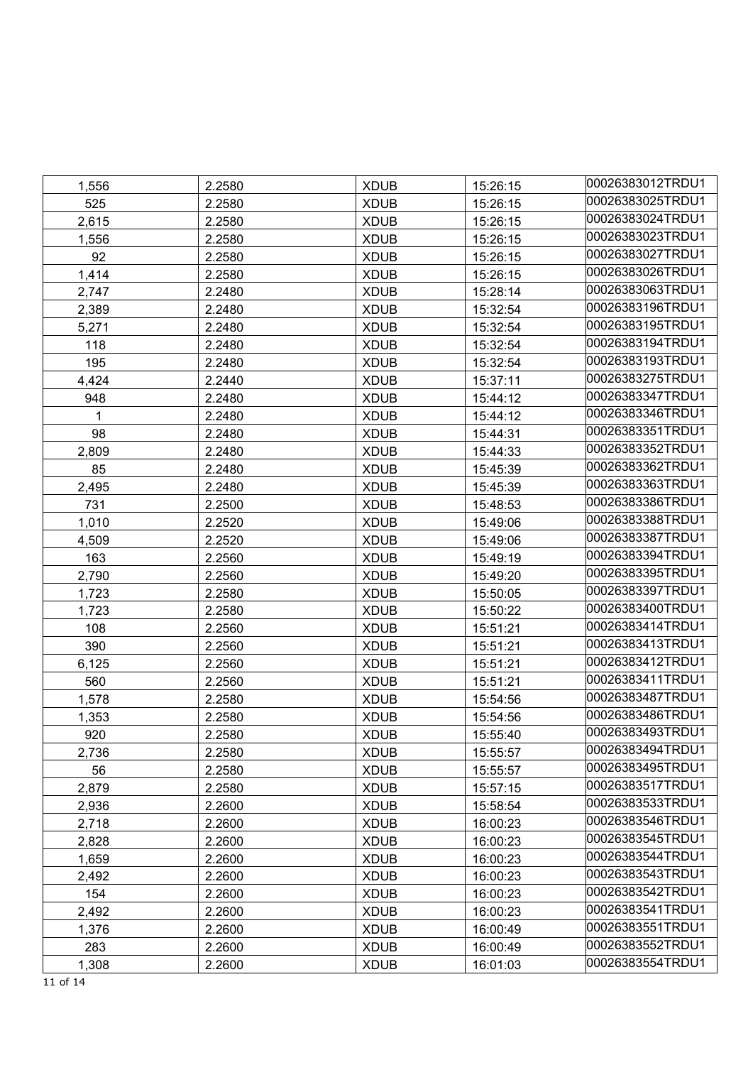| 1,556 | 2.2580 | <b>XDUB</b> | 15:26:15 | l00026383012TRDU1 |
|-------|--------|-------------|----------|-------------------|
| 525   | 2.2580 | <b>XDUB</b> | 15:26:15 | 00026383025TRDU1  |
| 2,615 | 2.2580 | <b>XDUB</b> | 15:26:15 | 00026383024TRDU1  |
| 1,556 | 2.2580 | <b>XDUB</b> | 15:26:15 | 00026383023TRDU1  |
| 92    | 2.2580 | <b>XDUB</b> | 15:26:15 | 00026383027TRDU1  |
| 1,414 | 2.2580 | <b>XDUB</b> | 15:26:15 | 00026383026TRDU1  |
| 2,747 | 2.2480 | <b>XDUB</b> | 15:28:14 | 00026383063TRDU1  |
| 2,389 | 2.2480 | <b>XDUB</b> | 15:32:54 | 00026383196TRDU1  |
| 5,271 | 2.2480 | <b>XDUB</b> | 15:32:54 | 00026383195TRDU1  |
| 118   | 2.2480 | <b>XDUB</b> | 15:32:54 | 00026383194TRDU1  |
| 195   | 2.2480 | <b>XDUB</b> | 15:32:54 | 00026383193TRDU1  |
| 4,424 | 2.2440 | <b>XDUB</b> | 15:37:11 | 00026383275TRDU1  |
| 948   | 2.2480 | <b>XDUB</b> | 15:44:12 | 00026383347TRDU1  |
| 1     | 2.2480 | <b>XDUB</b> | 15:44:12 | 00026383346TRDU1  |
| 98    | 2.2480 | <b>XDUB</b> | 15:44:31 | 00026383351TRDU1  |
| 2,809 | 2.2480 | <b>XDUB</b> | 15:44:33 | 00026383352TRDU1  |
| 85    | 2.2480 | <b>XDUB</b> | 15:45:39 | 00026383362TRDU1  |
| 2,495 | 2.2480 | <b>XDUB</b> | 15:45:39 | 00026383363TRDU1  |
| 731   | 2.2500 | <b>XDUB</b> | 15:48:53 | 00026383386TRDU1  |
| 1,010 | 2.2520 | <b>XDUB</b> | 15:49:06 | 00026383388TRDU1  |
| 4,509 | 2.2520 | <b>XDUB</b> | 15:49:06 | 00026383387TRDU1  |
| 163   | 2.2560 | <b>XDUB</b> | 15:49:19 | 00026383394TRDU1  |
| 2,790 | 2.2560 | <b>XDUB</b> | 15:49:20 | 00026383395TRDU1  |
| 1,723 | 2.2580 | <b>XDUB</b> | 15:50:05 | 00026383397TRDU1  |
| 1,723 | 2.2580 | <b>XDUB</b> | 15:50:22 | 00026383400TRDU1  |
| 108   | 2.2560 | <b>XDUB</b> | 15:51:21 | 00026383414TRDU1  |
| 390   | 2.2560 | <b>XDUB</b> | 15:51:21 | 00026383413TRDU1  |
| 6,125 | 2.2560 | <b>XDUB</b> | 15:51:21 | 00026383412TRDU1  |
| 560   | 2.2560 | <b>XDUB</b> | 15:51:21 | 00026383411TRDU1  |
| 1,578 | 2.2580 | <b>XDUB</b> | 15:54:56 | 00026383487TRDU1  |
| 1,353 | 2.2580 | <b>XDUB</b> | 15:54:56 | 00026383486TRDU1  |
| 920   | 2.2580 | <b>XDUB</b> | 15:55:40 | 00026383493TRDU1  |
| 2,736 | 2.2580 | <b>XDUB</b> | 15:55:57 | 00026383494TRDU1  |
| 56    | 2.2580 | <b>XDUB</b> | 15:55:57 | 00026383495TRDU1  |
| 2,879 | 2.2580 | <b>XDUB</b> | 15:57:15 | 00026383517TRDU1  |
| 2,936 | 2.2600 | <b>XDUB</b> | 15:58:54 | 00026383533TRDU1  |
| 2,718 | 2.2600 | <b>XDUB</b> | 16:00:23 | 00026383546TRDU1  |
| 2,828 | 2.2600 | <b>XDUB</b> | 16:00:23 | 00026383545TRDU1  |
| 1,659 | 2.2600 | <b>XDUB</b> | 16:00:23 | 00026383544TRDU1  |
| 2,492 | 2.2600 | <b>XDUB</b> | 16:00:23 | 00026383543TRDU1  |
| 154   | 2.2600 | <b>XDUB</b> | 16:00:23 | 00026383542TRDU1  |
| 2,492 | 2.2600 | <b>XDUB</b> | 16:00:23 | 00026383541TRDU1  |
| 1,376 | 2.2600 | <b>XDUB</b> | 16:00:49 | 00026383551TRDU1  |
| 283   | 2.2600 | <b>XDUB</b> | 16:00:49 | 00026383552TRDU1  |
| 1,308 | 2.2600 | <b>XDUB</b> | 16:01:03 | 00026383554TRDU1  |